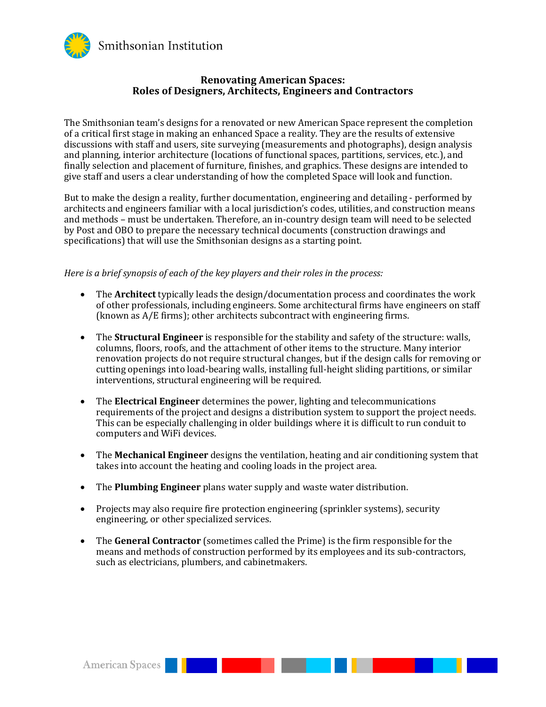

## **Renovating American Spaces: Roles of Designers, Architects, Engineers and Contractors**

The Smithsonian team's designs for a renovated or new American Space represent the completion of a critical first stage in making an enhanced Space a reality. They are the results of extensive discussions with staff and users, site surveying (measurements and photographs), design analysis and planning, interior architecture (locations of functional spaces, partitions, services, etc.), and finally selection and placement of furniture, finishes, and graphics. These designs are intended to give staff and users a clear understanding of how the completed Space will look and function.

But to make the design a reality, further documentation, engineering and detailing - performed by architects and engineers familiar with a local jurisdiction's codes, utilities, and construction means and methods – must be undertaken. Therefore, an in-country design team will need to be selected by Post and OBO to prepare the necessary technical documents (construction drawings and specifications) that will use the Smithsonian designs as a starting point.

*Here is a brief synopsis of each of the key players and their roles in the process:*

- The **Architect** typically leads the design/documentation process and coordinates the work of other professionals, including engineers. Some architectural firms have engineers on staff (known as A/E firms); other architects subcontract with engineering firms.
- The **Structural Engineer** is responsible for the stability and safety of the structure: walls, columns, floors, roofs, and the attachment of other items to the structure. Many interior renovation projects do not require structural changes, but if the design calls for removing or cutting openings into load-bearing walls, installing full-height sliding partitions, or similar interventions, structural engineering will be required.
- The **Electrical Engineer** determines the power, lighting and telecommunications requirements of the project and designs a distribution system to support the project needs. This can be especially challenging in older buildings where it is difficult to run conduit to computers and WiFi devices.
- The **Mechanical Engineer** designs the ventilation, heating and air conditioning system that takes into account the heating and cooling loads in the project area.
- The **Plumbing Engineer** plans water supply and waste water distribution.

- Projects may also require fire protection engineering (sprinkler systems), security engineering, or other specialized services.
- The **General Contractor** (sometimes called the Prime) is the firm responsible for the means and methods of construction performed by its employees and its sub-contractors, such as electricians, plumbers, and cabinetmakers.